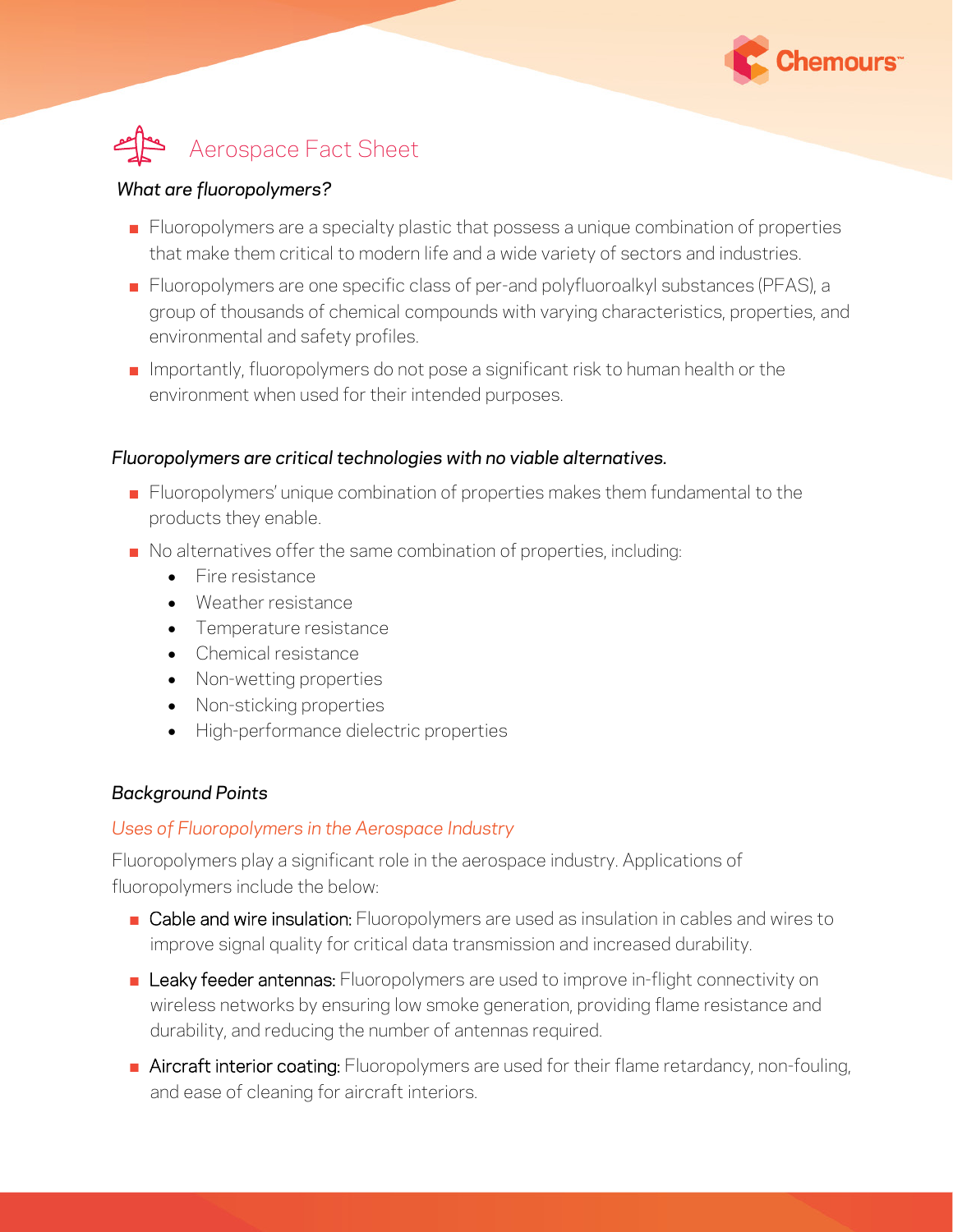

# Aerospace Fact Sheet

### *What are fluoropolymers?*

- Fluoropolymers are a specialty plastic that possess a unique combination of properties that make them critical to modern life and a wide variety of sectors and industries.
- Fluoropolymers are one specific class of per-and polyfluoroalkyl substances (PFAS), a group of thousands of chemical compounds with varying characteristics, properties, and environmental and safety profiles.
- $\blacksquare$  Importantly, fluoropolymers do not pose a significant risk to human health or the environment when used for their intended purposes.

## *Fluoropolymers are critical technologies with no viable alternatives.*

- Fluoropolymers' unique combination of properties makes them fundamental to the products they enable.
- No alternatives offer the same combination of properties, including:
	- Fire resistance
	- Weather resistance
	- Temperature resistance
	- Chemical resistance
	- Non-wetting properties
	- Non-sticking properties
	- High-performance dielectric properties

## *Background Points*

## *Uses of Fluoropolymers in the Aerospace Industry*

Fluoropolymers play a significant role in the aerospace industry. Applications of fluoropolymers include the below:

- Cable and wire insulation: Fluoropolymers are used as insulation in cables and wires to improve signal quality for critical data transmission and increased durability.
- **E** Leaky feeder antennas: Fluoropolymers are used to improve in-flight connectivity on wireless networks by ensuring low smoke generation, providing flame resistance and durability, and reducing the number of antennas required.
- **E** Aircraft interior coating: Fluoropolymers are used for their flame retardancy, non-fouling, and ease of cleaning for aircraft interiors.